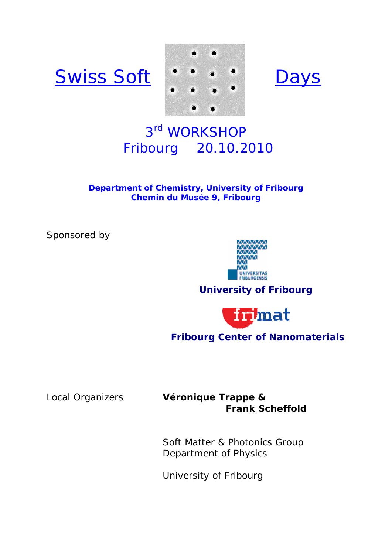





# 3rd WORKSHOP Fribourg 20.10.2010

**Department of Chemistry, University of Fribourg Chemin du Musée 9, Fribourg** 

Sponsored by



## **University of Fribourg**



## **Fribourg Center of Nanomaterials**

## Local Organizers **Véronique Trappe & Frank Scheffold**

Soft Matter & Photonics Group Department of Physics

University of Fribourg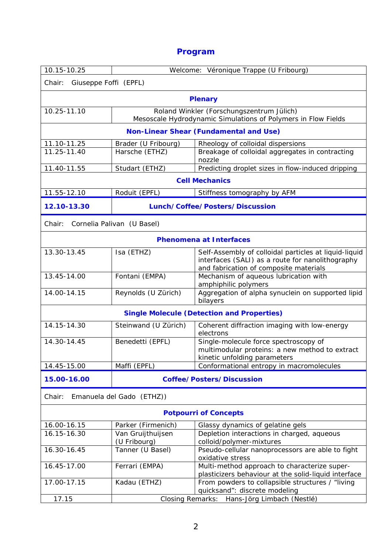## **Program**

| 10.15-10.25                                       | Véronique Trappe (U Fribourg)<br><i>Welcome:</i>                                                           |                                                                                                                                                     |  |
|---------------------------------------------------|------------------------------------------------------------------------------------------------------------|-----------------------------------------------------------------------------------------------------------------------------------------------------|--|
| Chair:<br>Giuseppe Foffi (EPFL)                   |                                                                                                            |                                                                                                                                                     |  |
| <b>Plenary</b>                                    |                                                                                                            |                                                                                                                                                     |  |
| 10.25-11.10                                       | Roland Winkler (Forschungszentrum Jülich)<br>Mesoscale Hydrodynamic Simulations of Polymers in Flow Fields |                                                                                                                                                     |  |
| <b>Non-Linear Shear (Fundamental and Use)</b>     |                                                                                                            |                                                                                                                                                     |  |
| 11.10-11.25                                       | Brader (U_Fribourg)                                                                                        | Rheology of colloidal dispersions                                                                                                                   |  |
| 11.25-11.40                                       | Harsche (ETHZ)                                                                                             | Breakage of colloidal aggregates in contracting<br>nozzle                                                                                           |  |
| 11.40-11.55                                       | Studart (ETHZ)                                                                                             | Predicting droplet sizes in flow-induced dripping                                                                                                   |  |
| <b>Cell Mechanics</b>                             |                                                                                                            |                                                                                                                                                     |  |
| 11.55-12.10                                       | Roduit (EPFL)                                                                                              | Stiffness tomography by AFM                                                                                                                         |  |
| 12.10-13.30                                       |                                                                                                            | Lunch/Coffee/Posters/Discussion                                                                                                                     |  |
| Chair:<br>Cornelia Palivan (U Basel)              |                                                                                                            |                                                                                                                                                     |  |
| <b>Phenomena at Interfaces</b>                    |                                                                                                            |                                                                                                                                                     |  |
| 13.30-13.45                                       | Isa (ETHZ)                                                                                                 | Self-Assembly of colloidal particles at liquid-liquid<br>interfaces (SALI) as a route for nanolithography<br>and fabrication of composite materials |  |
| 13.45-14.00                                       | Fontani (EMPA)                                                                                             | Mechanism of aqueous lubrication with                                                                                                               |  |
| 14.00-14.15                                       | Reynolds (U Zürich)                                                                                        | amphiphilic polymers<br>Aggregation of alpha synuclein on supported lipid<br>bilayers                                                               |  |
| <b>Single Molecule (Detection and Properties)</b> |                                                                                                            |                                                                                                                                                     |  |
| 14.15-14.30                                       | Steinwand (U Zürich)                                                                                       | Coherent diffraction imaging with low-energy<br>electrons                                                                                           |  |
| 14.30-14.45                                       | Benedetti (EPFL)                                                                                           | Single-molecule force spectroscopy of<br>multimodular proteins: a new method to extract<br>kinetic unfolding parameters                             |  |
| 14.45-15.00                                       | Maffi (EPFL)                                                                                               | Conformational entropy in macromolecules                                                                                                            |  |
| 15.00-16.00                                       | <b>Coffee/Posters/Discussion</b>                                                                           |                                                                                                                                                     |  |
| Emanuela del Gado (ETHZ))<br>Chair:               |                                                                                                            |                                                                                                                                                     |  |
| <b>Potpourri of Concepts</b>                      |                                                                                                            |                                                                                                                                                     |  |
| 16.00-16.15                                       | Parker (Firmenich)                                                                                         | Glassy dynamics of gelatine gels                                                                                                                    |  |
| 16.15-16.30                                       | Van Gruijthuijsen<br>(U Fribourg)                                                                          | Depletion interactions in charged, aqueous<br>colloid/polymer-mixtures                                                                              |  |
| 16.30-16.45                                       | Tanner (U Basel)                                                                                           | Pseudo-cellular nanoprocessors are able to fight<br>oxidative stress                                                                                |  |
| 16.45-17.00                                       | Ferrari (EMPA)                                                                                             | Multi-method approach to characterize super-<br>plasticizers behaviour at the solid-liquid interface                                                |  |
| 17.00-17.15                                       | Kadau (ETHZ)                                                                                               | From powders to collapsible structures / "living<br>quicksand": discrete modeling                                                                   |  |
| 17.15                                             | Closing Remarks:<br>Hans-Jörg Limbach (Nestlé)                                                             |                                                                                                                                                     |  |
|                                                   |                                                                                                            |                                                                                                                                                     |  |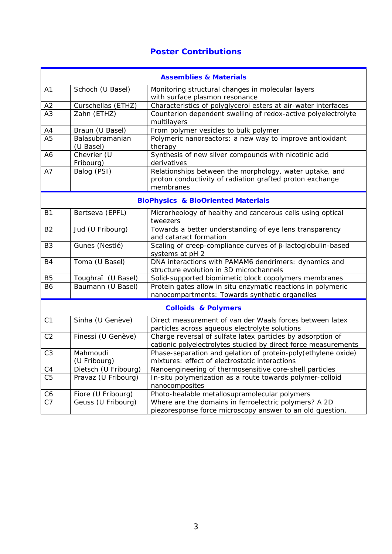## **Poster Contributions**

| <b>Assemblies &amp; Materials</b>             |                              |                                                                                                                                  |
|-----------------------------------------------|------------------------------|----------------------------------------------------------------------------------------------------------------------------------|
| A1                                            | Schoch (U Basel)             | Monitoring structural changes in molecular layers                                                                                |
|                                               |                              | with surface plasmon resonance                                                                                                   |
| A2                                            | Curschellas (ETHZ)           | Characteristics of polyglycerol esters at air-water interfaces                                                                   |
| A3                                            | Zahn (ETHZ)                  | Counterion dependent swelling of redox-active polyelectrolyte<br>multilayers                                                     |
| A4                                            | Braun (U Basel)              | From polymer vesicles to bulk polymer                                                                                            |
| A <sub>5</sub>                                | Balasubramanian<br>(U Basel) | Polymeric nanoreactors: a new way to improve antioxidant<br>therapy                                                              |
| A6                                            | Chevrier (U<br>Fribourg)     | Synthesis of new silver compounds with nicotinic acid<br>derivatives                                                             |
| A7                                            | Balog (PSI)                  | Relationships between the morphology, water uptake, and<br>proton conductivity of radiation grafted proton exchange<br>membranes |
| <b>BioPhysics &amp; BioOriented Materials</b> |                              |                                                                                                                                  |
| <b>B1</b>                                     | Bertseva (EPFL)              | Microrheology of healthy and cancerous cells using optical<br>tweezers                                                           |
| <b>B2</b>                                     | Jud (U Fribourg)             | Towards a better understanding of eye lens transparency<br>and cataract formation                                                |
| B <sub>3</sub>                                | Gunes (Nestlé)               | Scaling of creep-compliance curves of β-lactoglobulin-based<br>systems at pH 2                                                   |
| <b>B4</b>                                     | Toma (U Basel)               | DNA interactions with PAMAM6 dendrimers: dynamics and<br>structure evolution in 3D microchannels                                 |
| B <sub>5</sub>                                | Toughraï (U Basel)           | Solid-supported biomimetic block copolymers membranes                                                                            |
| <b>B6</b>                                     | Baumann (U Basel)            | Protein gates allow in situ enzymatic reactions in polymeric<br>nanocompartments: Towards synthetic organelles                   |
| <b>Colloids &amp; Polymers</b>                |                              |                                                                                                                                  |
| C <sub>1</sub>                                | Sinha (U Genève)             | Direct measurement of van der Waals forces between latex<br>particles across aqueous electrolyte solutions                       |
| C <sub>2</sub>                                | Finessi (U Genève)           | Charge reversal of sulfate latex particles by adsorption of<br>cationic polyelectrolytes studied by direct force measurements    |
| C <sub>3</sub>                                | Mahmoudi<br>(U Fribourg)     | Phase-separation and gelation of protein-poly (ethylene oxide)<br>mixtures: effect of electrostatic interactions                 |
| C4                                            | Dietsch (U Fribourg)         | Nanoengineering of thermosensitive core-shell particles                                                                          |
| C <sub>5</sub>                                | Pravaz (U Fribourg)          | In-situ polymerization as a route towards polymer-colloid<br>nanocomposites                                                      |
| C <sub>6</sub>                                | Fiore (U Fribourg)           | Photo-healable metallosupramolecular polymers                                                                                    |
| C7                                            | Geuss (U Fribourg)           | Where are the domains in ferroelectric polymers? A 2D<br>piezoresponse force microscopy answer to an old question.               |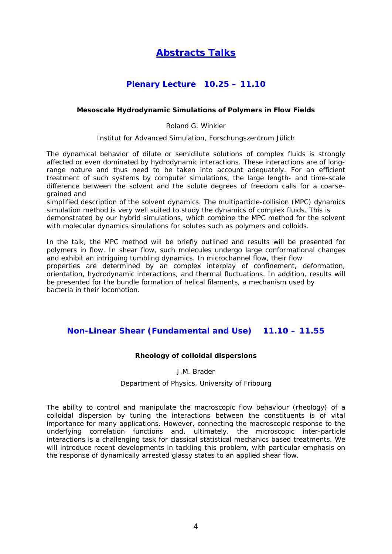## **Abstracts Talks**

## **Plenary Lecture 10.25 – 11.10**

#### **Mesoscale Hydrodynamic Simulations of Polymers in Flow Fields**

Roland G. Winkler

Institut for Advanced Simulation, Forschungszentrum Jülich

The dynamical behavior of dilute or semidilute solutions of complex fluids is strongly affected or even dominated by hydrodynamic interactions. These interactions are of longrange nature and thus need to be taken into account adequately. For an efficient treatment of such systems by computer simulations, the large length- and time-scale difference between the solvent and the solute degrees of freedom calls for a coarsegrained and

simplified description of the solvent dynamics. The multiparticle-collision (MPC) dynamics simulation method is very well suited to study the dynamics of complex fluids. This is

demonstrated by our hybrid simulations, which combine the MPC method for the solvent with molecular dynamics simulations for solutes such as polymers and colloids.

In the talk, the MPC method will be briefly outlined and results will be presented for polymers in flow. In shear flow, such molecules undergo large conformational changes and exhibit an intriguing tumbling dynamics. In microchannel flow, their flow

properties are determined by an complex interplay of confinement, deformation, orientation, hydrodynamic interactions, and thermal fluctuations. In addition, results will be presented for the bundle formation of helical filaments, a mechanism used by bacteria in their locomotion.

### **Non-Linear Shear (Fundamental and Use) 11.10 – 11.55**

#### **Rheology of colloidal dispersions**

J.M. Brader

#### Department of Physics, University of Fribourg

The ability to control and manipulate the macroscopic flow behaviour (rheology) of a colloidal dispersion by tuning the interactions between the constituents is of vital importance for many applications. However, connecting the macroscopic response to the underlying correlation functions and, ultimately, the microscopic inter-particle interactions is a challenging task for classical statistical mechanics based treatments. We will introduce recent developments in tackling this problem, with particular emphasis on the response of dynamically arrested glassy states to an applied shear flow.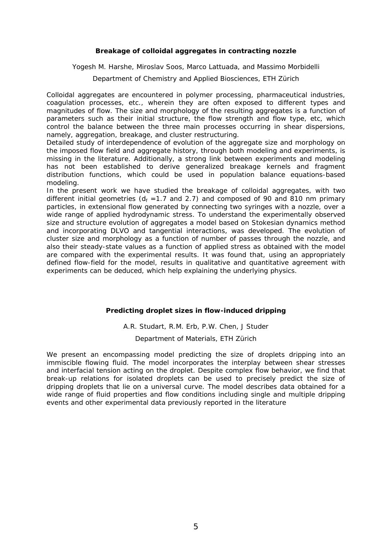#### **Breakage of colloidal aggregates in contracting nozzle**

Yogesh M. Harshe, Miroslav Soos, Marco Lattuada, and Massimo Morbidelli

Department of Chemistry and Applied Biosciences, ETH Zürich

Colloidal aggregates are encountered in polymer processing, pharmaceutical industries, coagulation processes, etc., wherein they are often exposed to different types and magnitudes of flow. The size and morphology of the resulting aggregates is a function of parameters such as their initial structure, the flow strength and flow type, etc, which control the balance between the three main processes occurring in shear dispersions, namely, aggregation, breakage, and cluster restructuring.

Detailed study of interdependence of evolution of the aggregate size and morphology on the imposed flow field and aggregate history, through both modeling and experiments, is missing in the literature. Additionally, a strong link between experiments and modeling has not been established to derive generalized breakage kernels and fragment distribution functions, which could be used in population balance equations-based modeling.

In the present work we have studied the breakage of colloidal aggregates, with two different initial geometries ( $d_f$  =1.7 and 2.7) and composed of 90 and 810 nm primary particles, in extensional flow generated by connecting two syringes with a nozzle, over a wide range of applied hydrodynamic stress. To understand the experimentally observed size and structure evolution of aggregates a model based on Stokesian dynamics method and incorporating DLVO and tangential interactions, was developed. The evolution of cluster size and morphology as a function of number of passes through the nozzle, and also their steady-state values as a function of applied stress as obtained with the model are compared with the experimental results. It was found that, using an appropriately defined flow-field for the model, results in qualitative and quantitative agreement with experiments can be deduced, which help explaining the underlying physics.

#### **Predicting droplet sizes in flow-induced dripping**

A.R. Studart, R.M. Erb, P.W. Chen, J Studer Department of Materials, ETH Zürich

We present an encompassing model predicting the size of droplets dripping into an immiscible flowing fluid. The model incorporates the interplay between shear stresses and interfacial tension acting on the droplet. Despite complex flow behavior, we find that break-up relations for isolated droplets can be used to precisely predict the size of dripping droplets that lie on a universal curve. The model describes data obtained for a wide range of fluid properties and flow conditions including single and multiple dripping events and other experimental data previously reported in the literature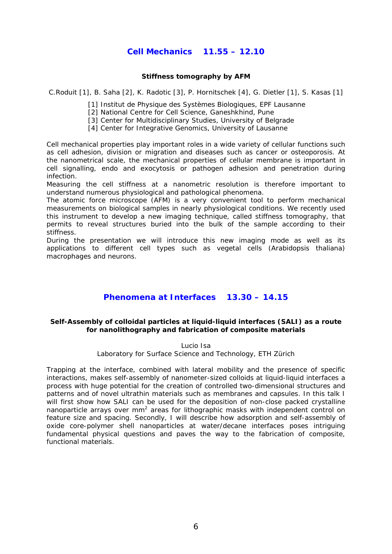## **Cell Mechanics 11.55 – 12.10**

#### **Stiffness tomography by AFM**

C.Roduit [1], B. Saha [2], K. Radotic [3], P. Hornitschek [4], G. Dietler [1], S. Kasas [1]

[1] Institut de Physique des Systèmes Biologiques, EPF Lausanne

[2] National Centre for Cell Science, Ganeshkhind, Pune

[3] Center for Multidisciplinary Studies, University of Belgrade

[4] Center for Integrative Genomics, University of Lausanne

Cell mechanical properties play important roles in a wide variety of cellular functions such as cell adhesion, division or migration and diseases such as cancer or osteoporosis. At the nanometrical scale, the mechanical properties of cellular membrane is important in cell signalling, endo and exocytosis or pathogen adhesion and penetration during infection.

Measuring the cell stiffness at a nanometric resolution is therefore important to understand numerous physiological and pathological phenomena.

The atomic force microscope (AFM) is a very convenient tool to perform mechanical measurements on biological samples in nearly physiological conditions. We recently used this instrument to develop a new imaging technique, called stiffness tomography, that permits to reveal structures buried into the bulk of the sample according to their stiffness.

During the presentation we will introduce this new imaging mode as well as its applications to different cell types such as vegetal cells (Arabidopsis thaliana) macrophages and neurons.

### **Phenomena at Interfaces 13.30 – 14.15**

#### **Self-Assembly of colloidal particles at liquid-liquid interfaces (SALI) as a route for nanolithography and fabrication of composite materials**

Lucio Isa Laboratory for Surface Science and Technology, ETH Zürich

Trapping at the interface, combined with lateral mobility and the presence of specific interactions, makes self-assembly of nanometer-sized colloids at liquid-liquid interfaces a process with huge potential for the creation of controlled two-dimensional structures and patterns and of novel ultrathin materials such as membranes and capsules. In this talk I will first show how SALI can be used for the deposition of non-close packed crystalline nanoparticle arrays over mm<sup>2</sup> areas for lithographic masks with independent control on feature size and spacing. Secondly, I will describe how adsorption and self-assembly of oxide core-polymer shell nanoparticles at water/decane interfaces poses intriguing fundamental physical questions and paves the way to the fabrication of composite, functional materials.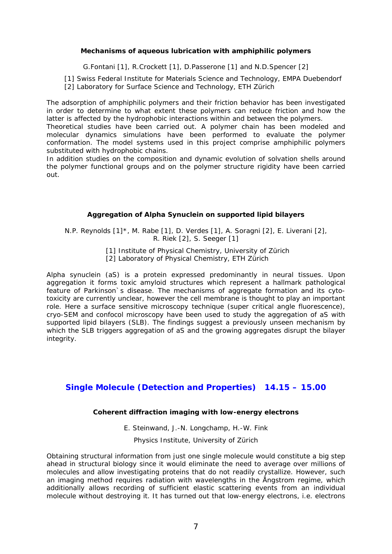#### **Mechanisms of aqueous lubrication with amphiphilic polymers**

G.Fontani [1], R.Crockett [1], D.Passerone [1] and N.D.Spencer [2]

[1] Swiss Federal Institute for Materials Science and Technology, EMPA Duebendorf

[2] Laboratory for Surface Science and Technology, ETH Zürich

The adsorption of amphiphilic polymers and their friction behavior has been investigated in order to determine to what extent these polymers can reduce friction and how the latter is affected by the hydrophobic interactions within and between the polymers.

Theoretical studies have been carried out. A polymer chain has been modeled and molecular dynamics simulations have been performed to evaluate the polymer conformation. The model systems used in this project comprise amphiphilic polymers substituted with hydrophobic chains.

In addition studies on the composition and dynamic evolution of solvation shells around the polymer functional groups and on the polymer structure rigidity have been carried out.

#### **Aggregation of Alpha Synuclein on supported lipid bilayers**

N.P. Reynolds [1]\*, M. Rabe [1], D. Verdes [1], A. Soragni [2], E. Liverani [2], R. Riek [2], S. Seeger [1]

> [1] Institute of Physical Chemistry, University of Zürich [2] Laboratory of Physical Chemistry, ETH Zürich

Alpha synuclein (aS) is a protein expressed predominantly in neural tissues. Upon aggregation it forms toxic amyloid structures which represent a hallmark pathological feature of Parkinson`s disease. The mechanisms of aggregate formation and its cytotoxicity are currently unclear, however the cell membrane is thought to play an important role. Here a surface sensitive microscopy technique (super critical angle fluorescence), cryo-SEM and confocol microscopy have been used to study the aggregation of aS with supported lipid bilayers (SLB). The findings suggest a previously unseen mechanism by which the SLB triggers aggregation of aS and the growing aggregates disrupt the bilayer integrity.

### **Single Molecule (Detection and Properties) 14.15 – 15.00**

#### **Coherent diffraction imaging with low-energy electrons**

E. Steinwand, J.-N. Longchamp, H.-W. Fink

Physics Institute, University of Zürich

Obtaining structural information from just one single molecule would constitute a big step ahead in structural biology since it would eliminate the need to average over millions of molecules and allow investigating proteins that do not readily crystallize. However, such an imaging method requires radiation with wavelengths in the Ångstrom regime, which additionally allows recording of sufficient elastic scattering events from an individual molecule without destroying it. It has turned out that low-energy electrons, i.e. electrons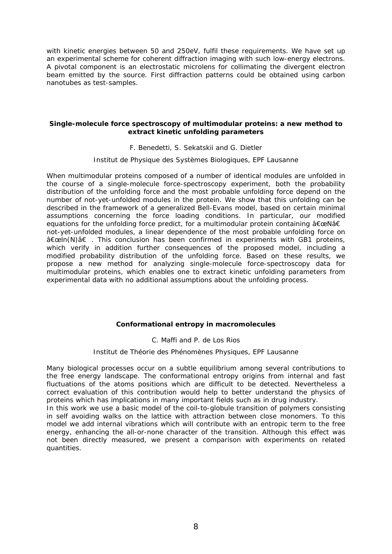with kinetic energies between 50 and 250eV, fulfil these requirements. We have set up an experimental scheme for coherent diffraction imaging with such low-energy electrons. A pivotal component is an electrostatic microlens for collimating the divergent electron beam emitted by the source. First diffraction patterns could be obtained using carbon nanotubes as test-samples.

#### **Single-molecule force spectroscopy of multimodular proteins: a new method to extract kinetic unfolding parameters**

F. Benedetti, S. Sekatskii and G. Dietler

Institut de Physique des Systèmes Biologiques, EPF Lausanne

When multimodular proteins composed of a number of identical modules are unfolded in the course of a single-molecule force-spectroscopy experiment, both the probability distribution of the unfolding force and the most probable unfolding force depend on the number of not-yet-unfolded modules in the protein. We show that this unfolding can be described in the framework of a generalized Bell-Evans model, based on certain minimal assumptions concerning the force loading conditions. In particular, our modified equations for the unfolding force predict, for a multimodular protein containing  $â€ceNâ€$ not-yet-unfolded modules, a linear dependence of the most probable unfolding force on "ln(N)â€. This conclusion has been confirmed in experiments with GB1 proteins, which verify in addition further consequences of the proposed model, including a modified probability distribution of the unfolding force. Based on these results, we propose a new method for analyzing single-molecule force-spectroscopy data for multimodular proteins, which enables one to extract kinetic unfolding parameters from experimental data with no additional assumptions about the unfolding process.

#### **Conformational entropy in macromolecules**

#### C. Maffi and P. de Los Rios

#### Institut de Théorie des Phénomènes Physiques, EPF Lausanne

Many biological processes occur on a subtle equilibrium among several contributions to the free energy landscape. The conformational entropy origins from internal and fast fluctuations of the atoms positions which are difficult to be detected. Nevertheless a correct evaluation of this contribution would help to better understand the physics of proteins which has implications in many important fields such as in drug industry.

In this work we use a basic model of the coil-to-globule transition of polymers consisting in self avoiding walks on the lattice with attraction between close monomers. To this model we add internal vibrations which will contribute with an entropic term to the free energy, enhancing the all-or-none character of the transition. Although this effect was not been directly measured, we present a comparison with experiments on related quantities.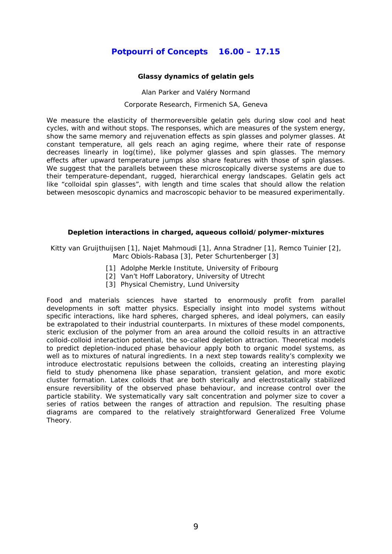## **Potpourri of Concepts 16.00 – 17.15**

#### **Glassy dynamics of gelatin gels**

Alan Parker and Valéry Normand Corporate Research, Firmenich SA, Geneva

We measure the elasticity of thermoreversible gelatin gels during slow cool and heat cycles, with and without stops. The responses, which are measures of the system energy, show the same memory and rejuvenation effects as spin glasses and polymer glasses. At constant temperature, all gels reach an aging regime, where their rate of response decreases linearly in log(time), like polymer glasses and spin glasses. The memory effects after upward temperature jumps also share features with those of spin glasses. We suggest that the parallels between these microscopically diverse systems are due to their temperature-dependant, rugged, hierarchical energy landscapes. Gelatin gels act like "colloidal spin glasses", with length and time scales that should allow the relation between mesoscopic dynamics and macroscopic behavior to be measured experimentally.

#### **Depletion interactions in charged, aqueous colloid/polymer-mixtures**

Kitty van Gruijthuijsen [1], Najet Mahmoudi [1], Anna Stradner [1], Remco Tuinier [2], Marc Obiols-Rabasa [3], Peter Schurtenberger [3]

- [1] Adolphe Merkle Institute, University of Fribourg
- [2] Van't Hoff Laboratory, University of Utrecht
- [3] Physical Chemistry, Lund University

Food and materials sciences have started to enormously profit from parallel developments in soft matter physics. Especially insight into model systems without specific interactions, like hard spheres, charged spheres, and ideal polymers, can easily be extrapolated to their industrial counterparts. In mixtures of these model components, steric exclusion of the polymer from an area around the colloid results in an attractive colloid-colloid interaction potential, the so-called depletion attraction. Theoretical models to predict depletion-induced phase behaviour apply both to organic model systems, as well as to mixtures of natural ingredients. In a next step towards reality's complexity we introduce electrostatic repulsions between the colloids, creating an interesting playing field to study phenomena like phase separation, transient gelation, and more exotic cluster formation. Latex colloids that are both sterically and electrostatically stabilized ensure reversibility of the observed phase behaviour, and increase control over the particle stability. We systematically vary salt concentration and polymer size to cover a series of ratios between the ranges of attraction and repulsion. The resulting phase diagrams are compared to the relatively straightforward Generalized Free Volume Theory.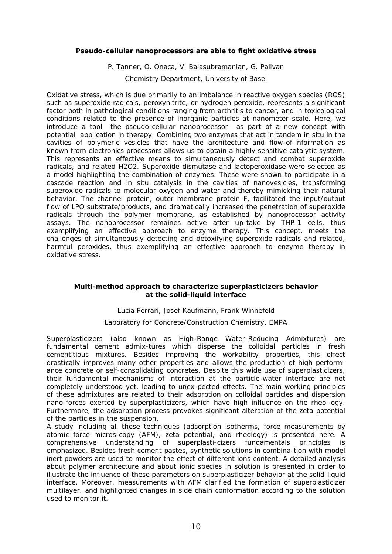#### **Pseudo-cellular nanoprocessors are able to fight oxidative stress**

P. Tanner, O. Onaca, V. Balasubramanian, G. Palivan

Chemistry Department, University of Basel

Oxidative stress, which is due primarily to an imbalance in reactive oxygen species (ROS) such as superoxide radicals, peroxynitrite, or hydrogen peroxide, represents a significant factor both in pathological conditions ranging from arthritis to cancer, and in toxicological conditions related to the presence of inorganic particles at nanometer scale. Here, we introduce a tool the pseudo-cellular nanoprocessor as part of a new concept with potential application in therapy. Combining two enzymes that act in tandem in situ in the cavities of polymeric vesicles that have the architecture and flow-of-information as known from electronics processors allows us to obtain a highly sensitive catalytic system. This represents an effective means to simultaneously detect and combat superoxide radicals, and related H2O2. Superoxide dismutase and lactoperoxidase were selected as a model highlighting the combination of enzymes. These were shown to participate in a cascade reaction and in situ catalysis in the cavities of nanovesicles, transforming superoxide radicals to molecular oxygen and water and thereby mimicking their natural behavior. The channel protein, outer membrane protein F, facilitated the input/output flow of LPO substrate/products, and dramatically increased the penetration of superoxide radicals through the polymer membrane, as established by nanoprocessor activity assays. The nanoprocessor remaines active after up-take by THP-1 cells, thus exemplifying an effective approach to enzyme therapy. This concept, meets the challenges of simultaneously detecting and detoxifying superoxide radicals and related, harmful peroxides, thus exemplifying an effective approach to enzyme therapy in oxidative stress.

#### **Multi-method approach to characterize superplasticizers behavior at the solid-liquid interface**

#### Lucia Ferrari, Josef Kaufmann, Frank Winnefeld

#### Laboratory for Concrete/Construction Chemistry, EMPA

Superplasticizers (also known as High-Range Water-Reducing Admixtures) are fundamental cement admix-tures which disperse the colloidal particles in fresh cementitious mixtures. Besides improving the workability properties, this effect drastically improves many other properties and allows the production of high performance concrete or self-consolidating concretes. Despite this wide use of superplasticizers, their fundamental mechanisms of interaction at the particle-water interface are not completely understood yet, leading to unex-pected effects. The main working principles of these admixtures are related to their adsorption on colloidal particles and dispersion nano-forces exerted by superplasticizers, which have high influence on the rheol-ogy. Furthermore, the adsorption process provokes significant alteration of the zeta potential of the particles in the suspension.

A study including all these techniques (adsorption isotherms, force measurements by atomic force micros-copy (AFM), zeta potential, and rheology) is presented here. A comprehensive understanding of superplasti-cizers fundamentals principles is emphasized. Besides fresh cement pastes, synthetic solutions in combina-tion with model inert powders are used to monitor the effect of different ions content. A detailed analysis about polymer architecture and about ionic species in solution is presented in order to illustrate the influence of these parameters on superplasticizer behavior at the solid-liquid interface. Moreover, measurements with AFM clarified the formation of superplasticizer multilayer, and highlighted changes in side chain conformation according to the solution used to monitor it.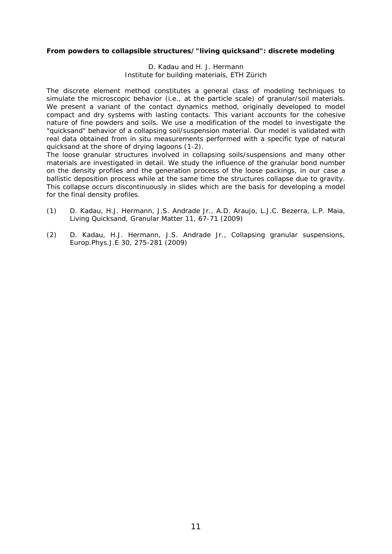#### **From powders to collapsible structures/"living quicksand": discrete modeling**

D. Kadau and H. J. Hermann Institute for building materials, ETH Zürich

The discrete element method constitutes a general class of modeling techniques to simulate the microscopic behavior (i.e., at the particle scale) of granular/soil materials. We present a variant of the contact dynamics method, originally developed to model compact and dry systems with lasting contacts. This variant accounts for the cohesive nature of fine powders and soils. We use a modification of the model to investigate the "quicksand" behavior of a collapsing soil/suspension material. Our model is validated with real data obtained from in situ measurements performed with a specific type of natural quicksand at the shore of drying lagoons (1-2).

The loose granular structures involved in collapsing soils/suspensions and many other materials are investigated in detail. We study the influence of the granular bond number on the density profiles and the generation process of the loose packings, in our case a ballistic deposition process while at the same time the structures collapse due to gravity. This collapse occurs discontinuously in slides which are the basis for developing a model for the final density profiles.

- (1) D. Kadau, H.J. Hermann, J.S. Andrade Jr., A.D. Araujo, L.J.C. Bezerra, L.P. Maia, Living Quicksand, Granular Matter 11, 67-71 (2009)
- (2) D. Kadau, H.J. Hermann, J.S. Andrade Jr., Collapsing granular suspensions, Europ.Phys.J.E 30, 275-281 (2009)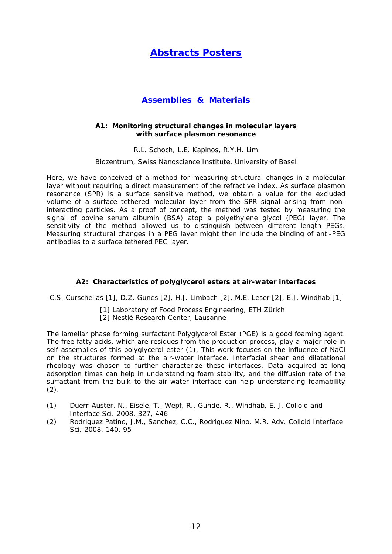## **Abstracts Posters**

### **Assemblies & Materials**

#### **A1: Monitoring structural changes in molecular layers with surface plasmon resonance**

R.L. Schoch, L.E. Kapinos, R.Y.H. Lim

Biozentrum, Swiss Nanoscience Institute, University of Basel

Here, we have conceived of a method for measuring structural changes in a molecular layer without requiring a direct measurement of the refractive index. As surface plasmon resonance (SPR) is a surface sensitive method, we obtain a value for the excluded volume of a surface tethered molecular layer from the SPR signal arising from noninteracting particles. As a proof of concept, the method was tested by measuring the signal of bovine serum albumin (BSA) atop a polyethylene glycol (PEG) layer. The sensitivity of the method allowed us to distinguish between different length PEGs. Measuring structural changes in a PEG layer might then include the binding of anti-PEG antibodies to a surface tethered PEG layer.

#### **A2: Characteristics of polyglycerol esters at air-water interfaces**

C.S. Curschellas [1], D.Z. Gunes [2], H.J. Limbach [2], M.E. Leser [2], E.J. Windhab [1]

- [1] Laboratory of Food Process Engineering, ETH Zürich
- [2] Nestlé Research Center, Lausanne

The lamellar phase forming surfactant Polyglycerol Ester (PGE) is a good foaming agent. The free fatty acids, which are residues from the production process, play a major role in self-assemblies of this polyglycerol ester (1). This work focuses on the influence of NaCl on the structures formed at the air-water interface. Interfacial shear and dilatational rheology was chosen to further characterize these interfaces. Data acquired at long adsorption times can help in understanding foam stability, and the diffusion rate of the surfactant from the bulk to the air-water interface can help understanding foamability  $(2)$ .

- (1) Duerr-Auster, N., Eisele, T., Wepf, R., Gunde, R., Windhab, E. J. Colloid and Interface Sci. 2008, 327, 446
- (2) Rodriguez Patino, J.M., Sanchez, C.C., Rodriguez Nino, M.R. Adv. Colloid Interface Sci. 2008, 140, 95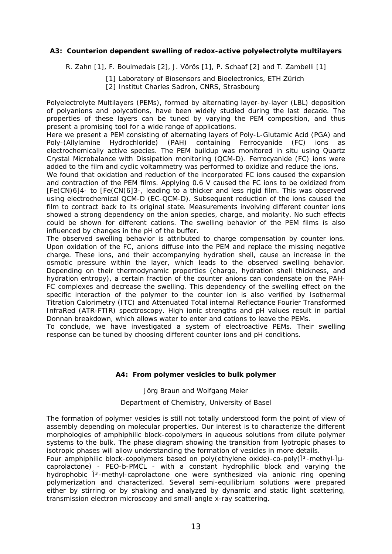#### **A3: Counterion dependent swelling of redox-active polyelectrolyte multilayers**

R. Zahn [1], F. Boulmedais [2], J. Vörös [1], P. Schaaf [2] and T. Zambelli [1]

[1] Laboratory of Biosensors and Bioelectronics, ETH Zürich

[2] Institut Charles Sadron, CNRS, Strasbourg

Polyelectrolyte Multilayers (PEMs), formed by alternating layer-by-layer (LBL) deposition of polyanions and polycations, have been widely studied during the last decade. The properties of these layers can be tuned by varying the PEM composition, and thus present a promising tool for a wide range of applications.

Here we present a PEM consisting of alternating layers of Poly-L-Glutamic Acid (PGA) and Poly-(Allylamine Hydrochloride) (PAH) containing Ferrocyanide (FC) ions as electrochemically active species. The PEM buildup was monitored in situ using Quartz Crystal Microbalance with Dissipation monitoring (QCM-D). Ferrocyanide (FC) ions were added to the film and cyclic voltammetry was performed to oxidize and reduce the ions.

We found that oxidation and reduction of the incorporated FC ions caused the expansion and contraction of the PEM films. Applying 0.6 V caused the FC ions to be oxidized from [Fe(CN)6]4- to [Fe(CN)6]3-, leading to a thicker and less rigid film. This was observed using electrochemical QCM-D (EC-QCM-D). Subsequent reduction of the ions caused the film to contract back to its original state. Measurements involving different counter ions showed a strong dependency on the anion species, charge, and molarity. No such effects could be shown for different cations. The swelling behavior of the PEM films is also influenced by changes in the pH of the buffer.

The observed swelling behavior is attributed to charge compensation by counter ions. Upon oxidation of the FC, anions diffuse into the PEM and replace the missing negative charge. These ions, and their accompanying hydration shell, cause an increase in the osmotic pressure within the layer, which leads to the observed swelling behavior. Depending on their thermodynamic properties (charge, hydration shell thickness, and hydration entropy), a certain fraction of the counter anions can condensate on the PAH-FC complexes and decrease the swelling. This dependency of the swelling effect on the specific interaction of the polymer to the counter ion is also verified by Isothermal Titration Calorimetry (ITC) and Attenuated Total internal Reflectance Fourier Transformed InfraRed (ATR-FTIR) spectroscopy. High ionic strengths and pH values result in partial Donnan breakdown, which allows water to enter and cations to leave the PEMs.

To conclude, we have investigated a system of electroactive PEMs. Their swelling response can be tuned by choosing different counter ions and pH conditions.

#### **A4: From polymer vesicles to bulk polymer**

#### Jörg Braun and Wolfgang Meier

#### Department of Chemistry, University of Basel

The formation of polymer vesicles is still not totally understood form the point of view of assembly depending on molecular properties. Our interest is to characterize the different morphologies of amphiphilic block-copolymers in aqueous solutions from dilute polymer systems to the bulk. The phase diagram showing the transition from lyotropic phases to isotropic phases will allow understanding the formation of vesicles in more details.

Four amphiphilic block-copolymers based on poly(ethylene oxide)-co-poly(13-methyl-1μcaprolactone) - PEO-b-PMCL - with a constant hydrophilic block and varying the hydrophobic <sup>3</sup>-methyl-caprolactone one were synthesized via anionic ring opening polymerization and characterized. Several semi-equilibrium solutions were prepared either by stirring or by shaking and analyzed by dynamic and static light scattering, transmission electron microscopy and small-angle x-ray scattering.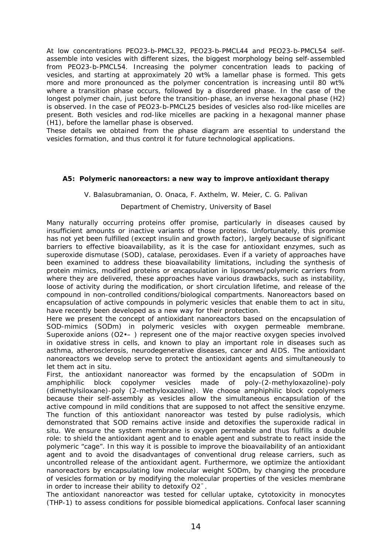At low concentrations PEO23-b-PMCL32, PEO23-b-PMCL44 and PEO23-b-PMCL54 selfassemble into vesicles with different sizes, the biggest morphology being self-assembled from PEO23-b-PMCL54. Increasing the polymer concentration leads to packing of vesicles, and starting at approximately 20 wt% a lamellar phase is formed. This gets more and more pronounced as the polymer concentration is increasing until 80 wt% where a transition phase occurs, followed by a disordered phase. In the case of the longest polymer chain, just before the transition-phase, an inverse hexagonal phase (H2) is observed. In the case of PEO23-b-PMCL25 besides of vesicles also rod-like micelles are present. Both vesicles and rod-like micelles are packing in a hexagonal manner phase (H1), before the lamellar phase is observed.

These details we obtained from the phase diagram are essential to understand the vesicles formation, and thus control it for future technological applications.

#### **A5: Polymeric nanoreactors: a new way to improve antioxidant therapy**

#### V. Balasubramanian, O. Onaca, F. Axthelm, W. Meier, C. G. Palivan

#### Department of Chemistry, University of Basel

Many naturally occurring proteins offer promise, particularly in diseases caused by insufficient amounts or inactive variants of those proteins. Unfortunately, this promise has not yet been fulfilled (except insulin and growth factor), largely because of significant barriers to effective bioavailability, as it is the case for antioxidant enzymes, such as superoxide dismutase (SOD), catalase, peroxidases. Even if a variety of approaches have been examined to address these bioavailability limitations, including the synthesis of protein mimics, modified proteins or encapsulation in liposomes/polymeric carriers from where they are delivered, these approaches have various drawbacks, such as instability, loose of activity during the modification, or short circulation lifetime, and release of the compound in non-controlled conditions/biological compartments. Nanoreactors based on encapsulation of active compounds in polymeric vesicles that enable them to act in situ, have recently been developed as a new way for their protection.

Here we present the concept of antioxidant nanoreactors based on the encapsulation of SOD-mimics (SODm) in polymeric vesicles with oxygen permeable membrane. Superoxide anions (O2•– ) represent one of the major reactive oxygen species involved in oxidative stress in cells, and known to play an important role in diseases such as asthma, atherosclerosis, neurodegenerative diseases, cancer and AIDS. The antioxidant nanoreactors we develop serve to protect the antioxidant agents and simultaneously to let them act in situ.

First, the antioxidant nanoreactor was formed by the encapsulation of SODm in amphiphilic block copolymer vesicles made of poly-(2-methyloxazoline)-poly (dimethylsiloxane)-poly (2-methyloxazoline). We choose amphiphilic block copolymers because their self-assembly as vesicles allow the simultaneous encapsulation of the active compound in mild conditions that are supposed to not affect the sensitive enzyme. The function of this antioxidant nanoreactor was tested by pulse radiolysis, which demonstrated that SOD remains active inside and detoxifies the superoxide radical in situ. We ensure the system membrane is oxygen permeable and thus fulfills a double role: to shield the antioxidant agent and to enable agent and substrate to react inside the polymeric "cage". In this way it is possible to improve the bioavailability of an antioxidant agent and to avoid the disadvantages of conventional drug release carriers, such as uncontrolled release of the antioxidant agent. Furthermore, we optimize the antioxidant nanoreactors by encapsulating low molecular weight SODm, by changing the procedure of vesicles formation or by modifying the molecular properties of the vesicles membrane in order to increase their ability to detoxify O2¯.

The antioxidant nanoreactor was tested for cellular uptake, cytotoxicity in monocytes (THP-1) to assess conditions for possible biomedical applications. Confocal laser scanning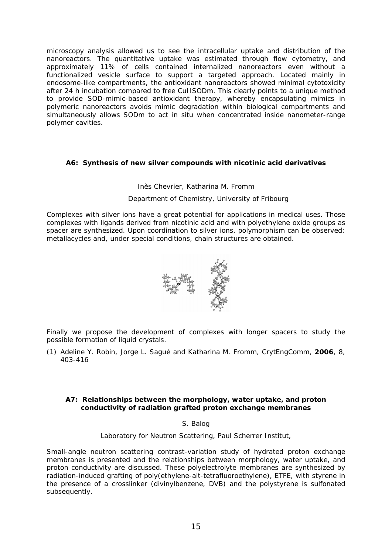microscopy analysis allowed us to see the intracellular uptake and distribution of the nanoreactors. The quantitative uptake was estimated through flow cytometry, and approximately 11% of cells contained internalized nanoreactors even without a functionalized vesicle surface to support a targeted approach. Located mainly in endosome-like compartments, the antioxidant nanoreactors showed minimal cytotoxicity after 24 h incubation compared to free CuIISODm. This clearly points to a unique method to provide SOD-mimic-based antioxidant therapy, whereby encapsulating mimics in polymeric nanoreactors avoids mimic degradation within biological compartments and simultaneously allows SODm to act in situ when concentrated inside nanometer-range polymer cavities.

#### **A6: Synthesis of new silver compounds with nicotinic acid derivatives**

#### Inès Chevrier, Katharina M. Fromm

#### Department of Chemistry, University of Fribourg

Complexes with silver ions have a great potential for applications in medical uses. Those complexes with ligands derived from nicotinic acid and with polyethylene oxide groups as spacer are synthesized. Upon coordination to silver ions, polymorphism can be observed: metallacycles and, under special conditions, chain structures are obtained.



Finally we propose the development of complexes with longer spacers to study the possible formation of liquid crystals.

(1) Adeline Y. Robin, Jorge L. Sagué and Katharina M. Fromm, *CrytEngComm*, **2006**, *8*, 403-416

#### **A7: Relationships between the morphology, water uptake, and proton conductivity of radiation grafted proton exchange membranes**

#### S. Balog

Laboratory for Neutron Scattering, Paul Scherrer Institut,

Small-angle neutron scattering contrast-variation study of hydrated proton exchange membranes is presented and the relationships between morphology, water uptake, and proton conductivity are discussed. These polyelectrolyte membranes are synthesized by radiation-induced grafting of poly(ethylene-alt-tetrafluoroethylene), ETFE, with styrene in the presence of a crosslinker (divinylbenzene, DVB) and the polystyrene is sulfonated subsequently.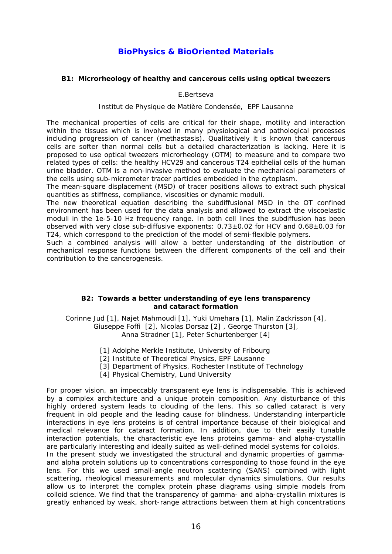## **BioPhysics & BioOriented Materials**

#### **B1: Microrheology of healthy and cancerous cells using optical tweezers**

E.Bertseva

Institut de Physique de Matière Condensée, EPF Lausanne

The mechanical properties of cells are critical for their shape, motility and interaction within the tissues which is involved in many physiological and pathological processes including progression of cancer (methastasis). Qualitatively it is known that cancerous cells are softer than normal cells but a detailed characterization is lacking. Here it is proposed to use optical tweezers microrheology (OTM) to measure and to compare two related types of cells: the healthy HCV29 and cancerous T24 epithelial cells of the human urine bladder. OTM is a non-invasive method to evaluate the mechanical parameters of the cells using sub-micrometer tracer particles embedded in the cytoplasm.

The mean-square displacement (MSD) of tracer positions allows to extract such physical quantities as stiffness, compliance, viscosities or dynamic moduli.

The new theoretical equation describing the subdiffusional MSD in the OT confined environment has been used for the data analysis and allowed to extract the viscoelastic moduli in the 1e-5-10 Hz frequency range. In both cell lines the subdiffusion has been observed with very close sub-diffusive exponents:  $0.73\pm0.02$  for HCV and  $0.68\pm0.03$  for T24, which correspond to the prediction of the model of semi-flexible polymers.

Such a combined analysis will allow a better understanding of the distribution of mechanical response functions between the different components of the cell and their contribution to the cancerogenesis.

#### **B2: Towards a better understanding of eye lens transparency and cataract formation**

Corinne Jud [1], Najet Mahmoudi [1], Yuki Umehara [1], Malin Zackrisson [4], Giuseppe Foffi [2], Nicolas Dorsaz [2] , George Thurston [3], Anna Stradner [1], Peter Schurtenberger [4]

- [1] Adolphe Merkle Institute, University of Fribourg
- [2] Institute of Theoretical Physics, EPF Lausanne
- [3] Department of Physics, Rochester Institute of Technology
- [4] Physical Chemistry, Lund University

For proper vision, an impeccably transparent eye lens is indispensable. This is achieved by a complex architecture and a unique protein composition. Any disturbance of this highly ordered system leads to clouding of the lens. This so called cataract is very frequent in old people and the leading cause for blindness. Understanding interparticle interactions in eye lens proteins is of central importance because of their biological and medical relevance for cataract formation. In addition, due to their easily tunable interaction potentials, the characteristic eye lens proteins gamma- and alpha-crystallin are particularly interesting and ideally suited as well-defined model systems for colloids. In the present study we investigated the structural and dynamic properties of gammaand alpha protein solutions up to concentrations corresponding to those found in the eye lens. For this we used small-angle neutron scattering (SANS) combined with light scattering, rheological measurements and molecular dynamics simulations. Our results allow us to interpret the complex protein phase diagrams using simple models from colloid science. We find that the transparency of gamma- and alpha-crystallin mixtures is greatly enhanced by weak, short-range attractions between them at high concentrations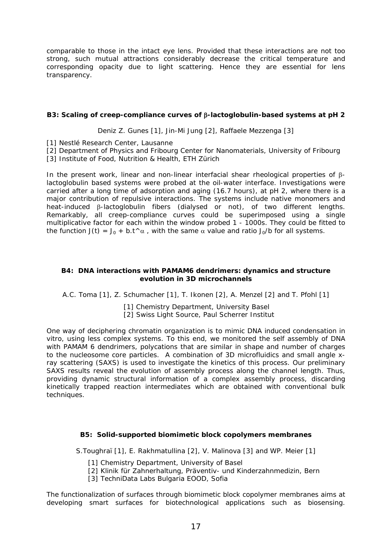comparable to those in the intact eye lens. Provided that these interactions are not too strong, such mutual attractions considerably decrease the critical temperature and corresponding opacity due to light scattering. Hence they are essential for lens transparency.

#### **B3: Scaling of creep-compliance curves of -lactoglobulin-based systems at pH 2**

Deniz Z. Gunes [1], Jin-Mi Jung [2], Raffaele Mezzenga [3]

- [1] Nestlé Research Center, Lausanne
- [2] Department of Physics and Fribourg Center for Nanomaterials, University of Fribourg
- [3] Institute of Food, Nutrition & Health, ETH Zürich

In the present work, linear and non-linear interfacial shear rheological properties of  $\beta$ lactoglobulin based systems were probed at the oil-water interface. Investigations were carried after a long time of adsorption and aging (16.7 hours), at pH 2, where there is a major contribution of repulsive interactions. The systems include native monomers and heat-induced  $\beta$ -lactoglobulin fibers (dialysed or not), of two different lengths. Remarkably, all creep-compliance curves could be superimposed using a single multiplicative factor for each within the window probed 1 - 1000s. They could be fitted to the function  $J(t) = J_0 + b \cdot t \wedge \alpha$ , with the same  $\alpha$  value and ratio  $J_0/b$  for all systems.

#### **B4: DNA interactions with PAMAM6 dendrimers: dynamics and structure evolution in 3D microchannels**

A.C. Toma [1], Z. Schumacher [1], T. Ikonen [2], A. Menzel [2] and T. Pfohl [1]

[1] Chemistry Department, University Basel [2] Swiss Light Source, Paul Scherrer Institut

One way of deciphering chromatin organization is to mimic DNA induced condensation in vitro, using less complex systems. To this end, we monitored the self assembly of DNA with PAMAM 6 dendrimers, polycations that are similar in shape and number of charges to the nucleosome core particles. A combination of 3D microfluidics and small angle xray scattering (SAXS) is used to investigate the kinetics of this process. Our preliminary SAXS results reveal the evolution of assembly process along the channel length. Thus, providing dynamic structural information of a complex assembly process, discarding kinetically trapped reaction intermediates which are obtained with conventional bulk techniques.

#### **B5: Solid-supported biomimetic block copolymers membranes**

S.Toughraï [1], E. Rakhmatullina [2], V. Malinova [3] and WP. Meier [1]

- [1] Chemistry Department, University of Basel
- [2] Klinik für Zahnerhaltung, Präventiv- und Kinderzahnmedizin, Bern
- [3] TechniData Labs Bulgaria EOOD, Sofia

The functionalization of surfaces through biomimetic block copolymer membranes aims at developing smart surfaces for biotechnological applications such as biosensing.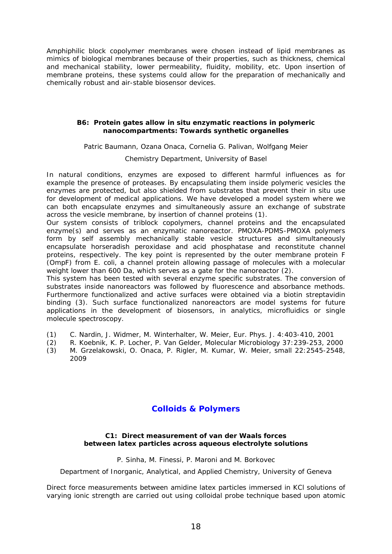Amphiphilic block copolymer membranes were chosen instead of lipid membranes as mimics of biological membranes because of their properties, such as thickness, chemical and mechanical stability, lower permeability, fluidity, mobility, etc. Upon insertion of membrane proteins, these systems could allow for the preparation of mechanically and chemically robust and air-stable biosensor devices.

#### **B6: Protein gates allow in situ enzymatic reactions in polymeric nanocompartments: Towards synthetic organelles**

Patric Baumann, Ozana Onaca, Cornelia G. Palivan, Wolfgang Meier

#### Chemistry Department, University of Basel

In natural conditions, enzymes are exposed to different harmful influences as for example the presence of proteases. By encapsulating them inside polymeric vesicles the enzymes are protected, but also shielded from substrates that prevent their in situ use for development of medical applications. We have developed a model system where we can both encapsulate enzymes and simultaneously assure an exchange of substrate across the vesicle membrane, by insertion of channel proteins (1).

Our system consists of triblock copolymers, channel proteins and the encapsulated enzyme(s) and serves as an enzymatic nanoreactor. PMOXA-PDMS-PMOXA polymers form by self assembly mechanically stable vesicle structures and simultaneously encapsulate horseradish peroxidase and acid phosphatase and reconstitute channel proteins, respectively. The key point is represented by the outer membrane protein F (OmpF) from E. coli, a channel protein allowing passage of molecules with a molecular weight lower than 600 Da, which serves as a gate for the nanoreactor (2).

This system has been tested with several enzyme specific substrates. The conversion of substrates inside nanoreactors was followed by fluorescence and absorbance methods. Furthermore functionalized and active surfaces were obtained via a biotin streptavidin binding (3). Such surface functionalized nanoreactors are model systems for future applications in the development of biosensors, in analytics, microfluidics or single molecule spectroscopy.

- (1) C. Nardin, J. Widmer, M. Winterhalter, W. Meier, Eur. Phys. J. 4:403-410, 2001
- (2) R. Koebnik, K. P. Locher, P. Van Gelder, Molecular Microbiology 37:239-253, 2000
- (3) M. Grzelakowski, O. Onaca, P. Rigler, M. Kumar, W. Meier, small 22:2545-2548, 2009

### **Colloids & Polymers**

#### **C1: Direct measurement of van der Waals forces between latex particles across aqueous electrolyte solutions**

P. Sinha, M. Finessi, P. Maroni and M. Borkovec

Department of Inorganic, Analytical, and Applied Chemistry, University of Geneva

Direct force measurements between amidine latex particles immersed in KCl solutions of varying ionic strength are carried out using colloidal probe technique based upon atomic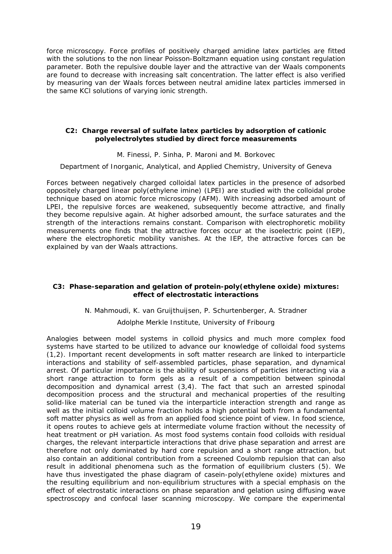force microscopy. Force profiles of positively charged amidine latex particles are fitted with the solutions to the non linear Poisson-Boltzmann equation using constant regulation parameter. Both the repulsive double layer and the attractive van der Waals components are found to decrease with increasing salt concentration. The latter effect is also verified by measuring van der Waals forces between neutral amidine latex particles immersed in the same KCl solutions of varying ionic strength.

#### **C2: Charge reversal of sulfate latex particles by adsorption of cationic polyelectrolytes studied by direct force measurements**

#### M. Finessi, P. Sinha, P. Maroni and M. Borkovec

Department of Inorganic, Analytical, and Applied Chemistry, University of Geneva

Forces between negatively charged colloidal latex particles in the presence of adsorbed oppositely charged linear poly(ethylene imine) (LPEI) are studied with the colloidal probe technique based on atomic force microscopy (AFM). With increasing adsorbed amount of LPEI, the repulsive forces are weakened, subsequently become attractive, and finally they become repulsive again. At higher adsorbed amount, the surface saturates and the strength of the interactions remains constant. Comparison with electrophoretic mobility measurements one finds that the attractive forces occur at the isoelectric point (IEP), where the electrophoretic mobility vanishes. At the IEP, the attractive forces can be explained by van der Waals attractions.

#### **C3: Phase-separation and gelation of protein-poly(ethylene oxide) mixtures: effect of electrostatic interactions**

#### N. Mahmoudi, K. van Gruijthuijsen, P. Schurtenberger, A. Stradner

#### Adolphe Merkle Institute, University of Fribourg

Analogies between model systems in colloid physics and much more complex food systems have started to be utilized to advance our knowledge of colloidal food systems (1,2). Important recent developments in soft matter research are linked to interparticle interactions and stability of self-assembled particles, phase separation, and dynamical arrest. Of particular importance is the ability of suspensions of particles interacting via a short range attraction to form gels as a result of a competition between spinodal decomposition and dynamical arrest (3,4). The fact that such an arrested spinodal decomposition process and the structural and mechanical properties of the resulting solid-like material can be tuned via the interparticle interaction strength and range as well as the initial colloid volume fraction holds a high potential both from a fundamental soft matter physics as well as from an applied food science point of view. In food science, it opens routes to achieve gels at intermediate volume fraction without the necessity of heat treatment or pH variation. As most food systems contain food colloids with residual charges, the relevant interparticle interactions that drive phase separation and arrest are therefore not only dominated by hard core repulsion and a short range attraction, but also contain an additional contribution from a screened Coulomb repulsion that can also result in additional phenomena such as the formation of equilibrium clusters (5). We have thus investigated the phase diagram of casein-poly(ethylene oxide) mixtures and the resulting equilibrium and non-equilibrium structures with a special emphasis on the effect of electrostatic interactions on phase separation and gelation using diffusing wave spectroscopy and confocal laser scanning microscopy. We compare the experimental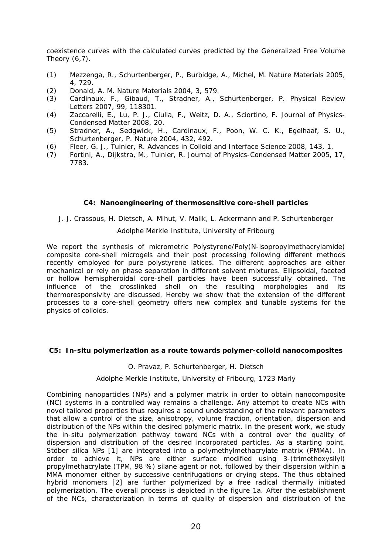coexistence curves with the calculated curves predicted by the Generalized Free Volume Theory  $(6,7)$ .

- (1) Mezzenga, R., Schurtenberger, P., Burbidge, A., Michel, M. Nature Materials 2005, 4, 729.
- (2) Donald, A. M. Nature Materials 2004, 3, 579.
- (3) Cardinaux, F., Gibaud, T., Stradner, A., Schurtenberger, P. Physical Review Letters 2007, 99, 118301.
- (4) Zaccarelli, E., Lu, P. J., Ciulla, F., Weitz, D. A., Sciortino, F. Journal of Physics-Condensed Matter 2008, 20.
- (5) Stradner, A., Sedgwick, H., Cardinaux, F., Poon, W. C. K., Egelhaaf, S. U., Schurtenberger, P. Nature 2004, 432, 492.
- (6) Fleer, G. J., Tuinier, R. Advances in Colloid and Interface Science 2008, 143, 1.
- (7) Fortini, A., Dijkstra, M., Tuinier, R. Journal of Physics-Condensed Matter 2005, 17, 7783.

#### **C4: Nanoengineering of thermosensitive core-shell particles**

J. J. Crassous, H. Dietsch, A. Mihut, V. Malik, L. Ackermann and P. Schurtenberger

#### Adolphe Merkle Institute, University of Fribourg

We report the synthesis of micrometric Polystyrene/Poly(N-isopropylmethacrylamide) composite core-shell microgels and their post processing following different methods recently employed for pure polystyrene latices. The different approaches are either mechanical or rely on phase separation in different solvent mixtures. Ellipsoidal, faceted or hollow hemispheroidal core-shell particles have been successfully obtained. The influence of the crosslinked shell on the resulting morphologies and its thermoresponsivity are discussed. Hereby we show that the extension of the different processes to a core-shell geometry offers new complex and tunable systems for the physics of colloids.

#### **C5: In-situ polymerization as a route towards polymer-colloid nanocomposites**

#### O. Pravaz, P. Schurtenberger, H. Dietsch

#### Adolphe Merkle Institute, University of Fribourg, 1723 Marly

Combining nanoparticles (NPs) and a polymer matrix in order to obtain nanocomposite (NC) systems in a controlled way remains a challenge. Any attempt to create NCs with novel tailored properties thus requires a sound understanding of the relevant parameters that allow a control of the size, anisotropy, volume fraction, orientation, dispersion and distribution of the NPs within the desired polymeric matrix. In the present work, we study the in-situ polymerization pathway toward NCs with a control over the quality of dispersion and distribution of the desired incorporated particles. As a starting point, Stöber silica NPs [1] are integrated into a polymethylmethacrylate matrix (PMMA). In order to achieve it, NPs are either surface modified using 3-(trimethoxysilyl) propylmethacrylate (TPM, 98 %) silane agent or not, followed by their dispersion within a MMA monomer either by successive centrifugations or drying steps. The thus obtained hybrid monomers [2] are further polymerized by a free radical thermally initiated polymerization. The overall process is depicted in the figure 1a. After the establishment of the NCs, characterization in terms of quality of dispersion and distribution of the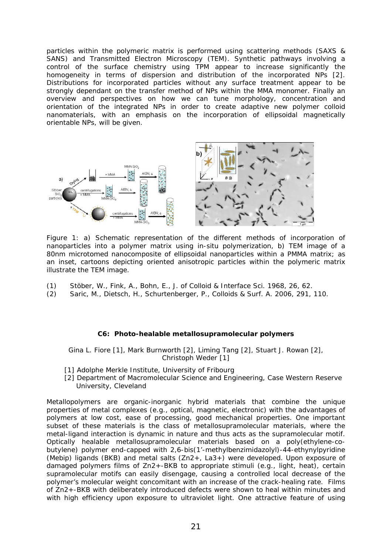particles within the polymeric matrix is performed using scattering methods (SAXS & SANS) and Transmitted Electron Microscopy (TEM). Synthetic pathways involving a control of the surface chemistry using TPM appear to increase significantly the homogeneity in terms of dispersion and distribution of the incorporated NPs [2]. Distributions for incorporated particles without any surface treatment appear to be strongly dependant on the transfer method of NPs within the MMA monomer. Finally an overview and perspectives on how we can tune morphology, concentration and orientation of the integrated NPs in order to create adaptive new polymer colloid nanomaterials, with an emphasis on the incorporation of ellipsoidal magnetically orientable NPs, will be given.



Figure 1: a) Schematic representation of the different methods of incorporation of nanoparticles into a polymer matrix using in-situ polymerization, b) TEM image of a 80nm microtomed nanocomposite of ellipsoidal nanoparticles within a PMMA matrix; as an inset, cartoons depicting oriented anisotropic particles within the polymeric matrix illustrate the TEM image.

- (1) Stöber, W., Fink, A., Bohn, E., J. of Colloid & Interface Sci. 1968, 26, 62.
- (2) Saric, M., Dietsch, H., Schurtenberger, P., Colloids & Surf. A. 2006, 291, 110.

#### **C6: Photo-healable metallosupramolecular polymers**

Gina L. Fiore [1], Mark Burnworth [2], Liming Tang [2], Stuart J. Rowan [2], Christoph Weder [1]

- [1] Adolphe Merkle Institute, University of Fribourg
- [2] Department of Macromolecular Science and Engineering, Case Western Reserve University, Cleveland

Metallopolymers are organic-inorganic hybrid materials that combine the unique properties of metal complexes (e.g., optical, magnetic, electronic) with the advantages of polymers at low cost, ease of processing, good mechanical properties. One important subset of these materials is the class of metallosupramolecular materials, where the metal-ligand interaction is dynamic in nature and thus acts as the supramolecular motif. Optically healable metallosupramolecular materials based on a poly(ethylene-cobutylene) polymer end-capped with 2,6-bis(1'-methylbenzimidazolyl)-44-ethynylpyridine (Mebip) ligands (BKB) and metal salts (Zn2+, La3+) were developed. Upon exposure of damaged polymers films of Zn2+-BKB to appropriate stimuli (e.g., light, heat), certain supramolecular motifs can easily disengage, causing a controlled local decrease of the polymer's molecular weight concomitant with an increase of the crack-healing rate. Films of Zn2+-BKB with deliberately introduced defects were shown to heal within minutes and with high efficiency upon exposure to ultraviolet light. One attractive feature of using